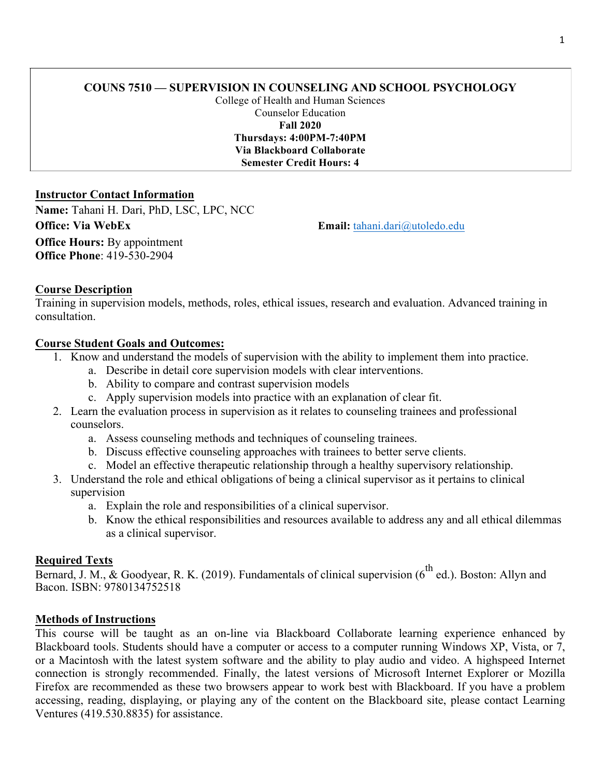# **COUNS 7510 — SUPERVISION IN COUNSELING AND SCHOOL PSYCHOLOGY**

College of Health and Human Sciences Counselor Education **Fall 2020 Thursdays: 4:00PM-7:40PM Via Blackboard Collaborate Semester Credit Hours: 4**

## **Instructor Contact Information**

**Name:** Tahani H. Dari, PhD, LSC, LPC, NCC **Office: Via WebEx Email: Email: tahani.dari@utoledo.edu Office Hours: By appointment Office Phone**: 419-530-2904

## **Course Description**

Training in supervision models, methods, roles, ethical issues, research and evaluation. Advanced training in consultation.

## **Course Student Goals and Outcomes:**

- 1. Know and understand the models of supervision with the ability to implement them into practice.
	- a. Describe in detail core supervision models with clear interventions.
		- b. Ability to compare and contrast supervision models
		- c. Apply supervision models into practice with an explanation of clear fit.
- 2. Learn the evaluation process in supervision as it relates to counseling trainees and professional counselors.
	- a. Assess counseling methods and techniques of counseling trainees.
	- b. Discuss effective counseling approaches with trainees to better serve clients.
	- c. Model an effective therapeutic relationship through a healthy supervisory relationship.
- 3. Understand the role and ethical obligations of being a clinical supervisor as it pertains to clinical supervision
	- a. Explain the role and responsibilities of a clinical supervisor.
	- b. Know the ethical responsibilities and resources available to address any and all ethical dilemmas as a clinical supervisor.

### **Required Texts**

Bernard, J. M., & Goodyear, R. K. (2019). Fundamentals of clinical supervision ( $6^{\text{th}}$  ed.). Boston: Allyn and Bacon. ISBN: 9780134752518

# **Methods of Instructions**

This course will be taught as an on-line via Blackboard Collaborate learning experience enhanced by Blackboard tools. Students should have a computer or access to a computer running Windows XP, Vista, or 7, or a Macintosh with the latest system software and the ability to play audio and video. A highspeed Internet connection is strongly recommended. Finally, the latest versions of Microsoft Internet Explorer or Mozilla Firefox are recommended as these two browsers appear to work best with Blackboard. If you have a problem accessing, reading, displaying, or playing any of the content on the Blackboard site, please contact Learning Ventures (419.530.8835) for assistance.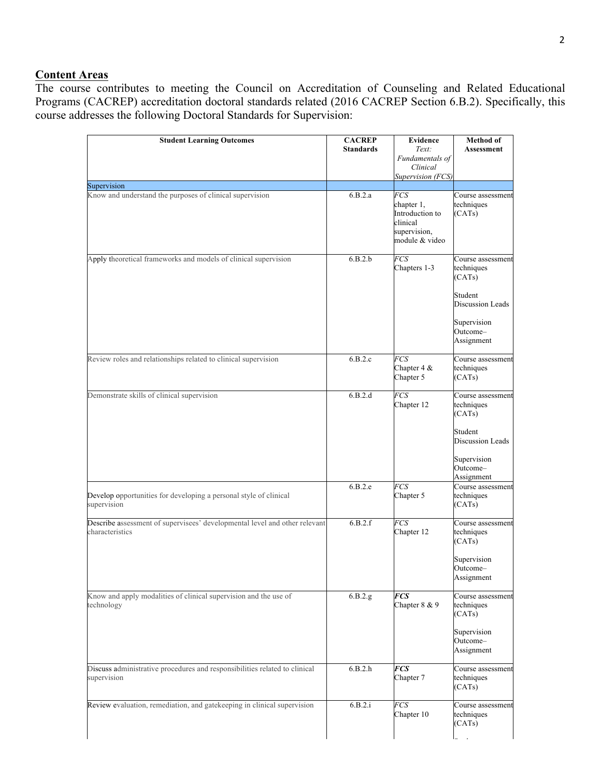# **Content Areas**

The course contributes to meeting the Council on Accreditation of Counseling and Related Educational Programs (CACREP) accreditation doctoral standards related (2016 CACREP Section 6.B.2). Specifically, this course addresses the following Doctoral Standards for Supervision:

| <b>Student Learning Outcomes</b>                                                              | <b>CACREP</b>    | <b>Evidence</b>                                                                    | Method of                                 |
|-----------------------------------------------------------------------------------------------|------------------|------------------------------------------------------------------------------------|-------------------------------------------|
|                                                                                               | <b>Standards</b> | Text:<br>Fundamentals of                                                           | <b>Assessment</b>                         |
|                                                                                               |                  | Clinical<br>Supervision (FCS)                                                      |                                           |
| Supervision                                                                                   |                  |                                                                                    |                                           |
| Know and understand the purposes of clinical supervision                                      | 6.B.2.a          | FCS<br>chapter 1,<br>Introduction to<br>clinical<br>supervision,<br>module & video | Course assessment<br>techniques<br>(CATs) |
| Apply theoretical frameworks and models of clinical supervision                               | 6.B.2.b          | <b>FCS</b><br>Chapters 1-3                                                         | Course assessment<br>techniques<br>(CATs) |
|                                                                                               |                  |                                                                                    | Student<br>Discussion Leads               |
|                                                                                               |                  |                                                                                    | Supervision<br>Outcome-<br>Assignment     |
| Review roles and relationships related to clinical supervision                                | 6.B.2.c          | <b>FCS</b><br>Chapter 4 &<br>Chapter 5                                             | Course assessment<br>techniques<br>(CATs) |
| Demonstrate skills of clinical supervision                                                    | 6.B.2.d          | FCS<br>Chapter 12                                                                  | Course assessment<br>techniques<br>(CATs) |
|                                                                                               |                  |                                                                                    | Student<br><b>Discussion Leads</b>        |
|                                                                                               |                  |                                                                                    | Supervision<br>Outcome-<br>Assignment     |
| Develop opportunities for developing a personal style of clinical<br>supervision              | 6.B.2.e          | FCS<br>Chapter 5                                                                   | Course assessment<br>techniques<br>(CATs) |
| Describe assessment of supervisees' developmental level and other relevant<br>characteristics | 6.B.2.f          | FCS<br>Chapter 12                                                                  | Course assessment<br>techniques<br>(CATs) |
|                                                                                               |                  |                                                                                    | Supervision<br>Outcome-<br>Assignment     |
| Know and apply modalities of clinical supervision and the use of<br>technology                | 6.B.2.g.         | <b>FCS</b><br>Chapter 8 & 9                                                        | Course assessment<br>techniques<br>(CATs) |
|                                                                                               |                  |                                                                                    | Supervision<br>Outcome-<br>Assignment     |
| Discuss administrative procedures and responsibilities related to clinical<br>supervision     | 6.B.2.h          | <b>FCS</b><br>Chapter 7                                                            | Course assessment<br>techniques<br>(CATs) |
| Review evaluation, remediation, and gatekeeping in clinical supervision                       | 6.B.2.i          | <b>FCS</b><br>Chapter 10                                                           | Course assessment<br>techniques<br>(CATs) |
|                                                                                               |                  |                                                                                    |                                           |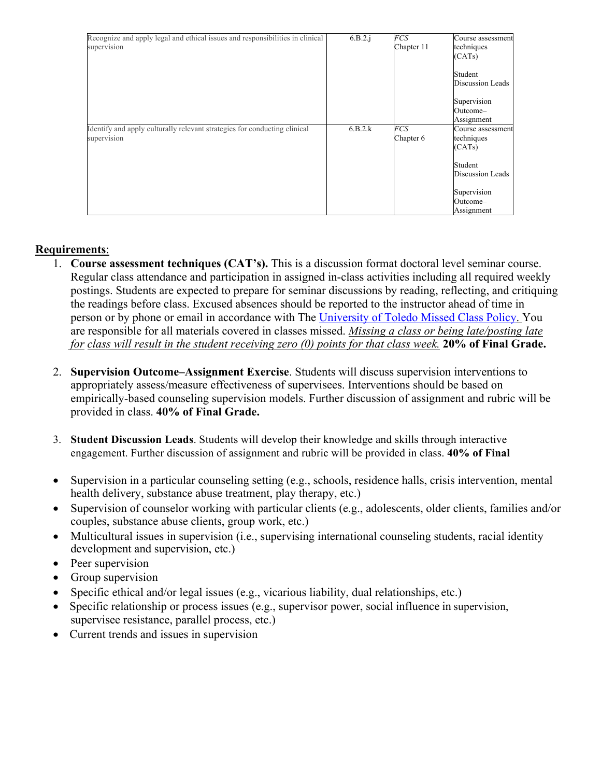| Recognize and apply legal and ethical issues and responsibilities in clinical | 6.B.2.i | <b>FCS</b> | Course assessment |
|-------------------------------------------------------------------------------|---------|------------|-------------------|
| supervision                                                                   |         | Chapter 11 | techniques        |
|                                                                               |         |            | (CATs)            |
|                                                                               |         |            |                   |
|                                                                               |         |            | Student           |
|                                                                               |         |            | Discussion Leads  |
|                                                                               |         |            | Supervision       |
|                                                                               |         |            | Outcome-          |
|                                                                               |         |            | Assignment        |
| Identify and apply culturally relevant strategies for conducting clinical     | 6.B.2.k | <b>FCS</b> | Course assessment |
| supervision                                                                   |         | Chapter 6  | techniques        |
|                                                                               |         |            | (CATs)            |
|                                                                               |         |            | Student           |
|                                                                               |         |            |                   |
|                                                                               |         |            | Discussion Leads  |
|                                                                               |         |            | Supervision       |
|                                                                               |         |            | Outcome-          |
|                                                                               |         |            | Assignment        |

# **Requirements**:

- 1. **Course assessment techniques (CAT's).** This is a discussion format doctoral level seminar course. Regular class attendance and participation in assigned in-class activities including all required weekly postings. Students are expected to prepare for seminar discussions by reading, reflecting, and critiquing the readings before class. Excused absences should be reported to the instructor ahead of time in person or by phone or email in accordance with The University of Toledo Missed Class Policy. You are responsible for all materials covered in classes missed. *Missing a class or being late/posting late for class will result in the student receiving zero (0) points for that class week.* **20% of Final Grade.**
- 2. **Supervision Outcome–Assignment Exercise**. Students will discuss supervision interventions to appropriately assess/measure effectiveness of supervisees. Interventions should be based on empirically-based counseling supervision models. Further discussion of assignment and rubric will be provided in class. **40% of Final Grade.**
- 3. **Student Discussion Leads**. Students will develop their knowledge and skills through interactive engagement. Further discussion of assignment and rubric will be provided in class. **40% of Final**
- Supervision in a particular counseling setting (e.g., schools, residence halls, crisis intervention, mental health delivery, substance abuse treatment, play therapy, etc.)
- Supervision of counselor working with particular clients (e.g., adolescents, older clients, families and/or couples, substance abuse clients, group work, etc.)
- Multicultural issues in supervision (i.e., supervising international counseling students, racial identity development and supervision, etc.)
- Peer supervision
- Group supervision
- Specific ethical and/or legal issues (e.g., vicarious liability, dual relationships, etc.)
- Specific relationship or process issues (e.g., supervisor power, social influence in supervision, supervisee resistance, parallel process, etc.)
- Current trends and issues in supervision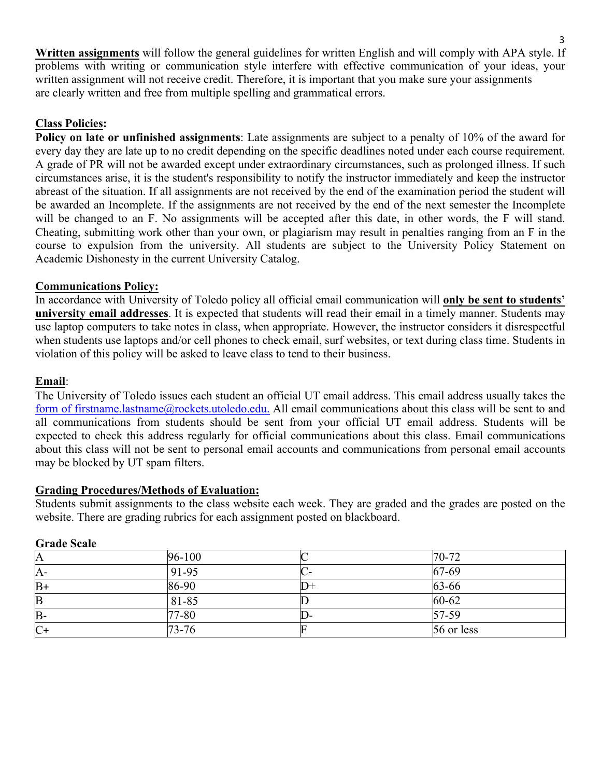**Written assignments** will follow the general guidelines for written English and will comply with APA style. If problems with writing or communication style interfere with effective communication of your ideas, your written assignment will not receive credit. Therefore, it is important that you make sure your assignments are clearly written and free from multiple spelling and grammatical errors.

## **Class Policies:**

**Policy on late or unfinished assignments**: Late assignments are subject to a penalty of 10% of the award for every day they are late up to no credit depending on the specific deadlines noted under each course requirement. A grade of PR will not be awarded except under extraordinary circumstances, such as prolonged illness. If such circumstances arise, it is the student's responsibility to notify the instructor immediately and keep the instructor abreast of the situation. If all assignments are not received by the end of the examination period the student will be awarded an Incomplete. If the assignments are not received by the end of the next semester the Incomplete will be changed to an F. No assignments will be accepted after this date, in other words, the F will stand. Cheating, submitting work other than your own, or plagiarism may result in penalties ranging from an F in the course to expulsion from the university. All students are subject to the University Policy Statement on Academic Dishonesty in the current University Catalog.

### **Communications Policy:**

In accordance with University of Toledo policy all official email communication will **only be sent to students' university email addresses**. It is expected that students will read their email in a timely manner. Students may use laptop computers to take notes in class, when appropriate. However, the instructor considers it disrespectful when students use laptops and/or cell phones to check email, surf websites, or text during class time. Students in violation of this policy will be asked to leave class to tend to their business.

### **Email**:

The University of Toledo issues each student an official UT email address. This email address usually takes the form of firstname.lastname@rockets.utoledo.edu. All email communications about this class will be sent to and all communications from students should be sent from your official UT email address. Students will be expected to check this address regularly for official communications about this class. Email communications about this class will not be sent to personal email accounts and communications from personal email accounts may be blocked by UT spam filters.

### **Grading Procedures/Methods of Evaluation:**

Students submit assignments to the class website each week. They are graded and the grades are posted on the website. There are grading rubrics for each assignment posted on blackboard.

| <b>ULAUC DEAIC</b> |         |       |            |  |
|--------------------|---------|-------|------------|--|
| A                  | 96-100  |       | 70-72      |  |
| A-                 | $91-95$ |       | 67-69      |  |
| $B+$               | 86-90   | II J+ | 63-66      |  |
| B                  | 81-85   |       | 60-62      |  |
| $B -$              | 77-80   | D-    | 57-59      |  |
| $C+$               | 73-76   |       | 56 or less |  |

### **Grade Scale**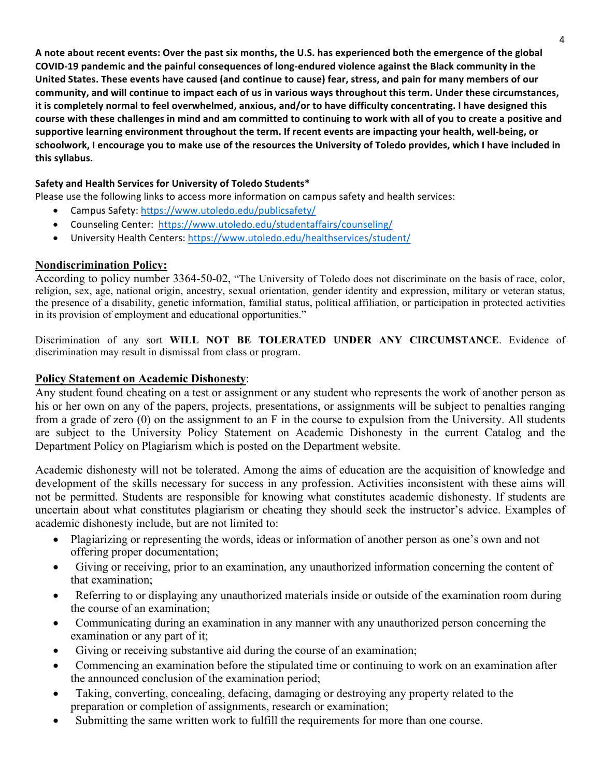A note about recent events: Over the past six months, the U.S. has experienced both the emergence of the global COVID-19 pandemic and the painful consequences of long-endured violence against the Black community in the United States. These events have caused (and continue to cause) fear, stress, and pain for many members of our community, and will continue to impact each of us in various ways throughout this term. Under these circumstances, it is completely normal to feel overwhelmed, anxious, and/or to have difficulty concentrating. I have designed this course with these challenges in mind and am committed to continuing to work with all of you to create a positive and supportive learning environment throughout the term. If recent events are impacting your health, well-being, or schoolwork, I encourage you to make use of the resources the University of Toledo provides, which I have included in **this syllabus.**

### Safety and Health Services for University of Toledo Students\*

Please use the following links to access more information on campus safety and health services:

- Campus Safety: https://www.utoledo.edu/publicsafety/
- Counseling Center: https://www.utoledo.edu/studentaffairs/counseling/
- University Health Centers: https://www.utoledo.edu/healthservices/student/

#### **Nondiscrimination Policy:**

According to policy number 3364-50-02, "The University of Toledo does not discriminate on the basis of race, color, religion, sex, age, national origin, ancestry, sexual orientation, gender identity and expression, military or veteran status, the presence of a disability, genetic information, familial status, political affiliation, or participation in protected activities in its provision of employment and educational opportunities."

Discrimination of any sort **WILL NOT BE TOLERATED UNDER ANY CIRCUMSTANCE**. Evidence of discrimination may result in dismissal from class or program.

#### **Policy Statement on Academic Dishonesty**:

Any student found cheating on a test or assignment or any student who represents the work of another person as his or her own on any of the papers, projects, presentations, or assignments will be subject to penalties ranging from a grade of zero (0) on the assignment to an F in the course to expulsion from the University. All students are subject to the University Policy Statement on Academic Dishonesty in the current Catalog and the Department Policy on Plagiarism which is posted on the Department website.

Academic dishonesty will not be tolerated. Among the aims of education are the acquisition of knowledge and development of the skills necessary for success in any profession. Activities inconsistent with these aims will not be permitted. Students are responsible for knowing what constitutes academic dishonesty. If students are uncertain about what constitutes plagiarism or cheating they should seek the instructor's advice. Examples of academic dishonesty include, but are not limited to:

- Plagiarizing or representing the words, ideas or information of another person as one's own and not offering proper documentation;
- Giving or receiving, prior to an examination, any unauthorized information concerning the content of that examination;
- Referring to or displaying any unauthorized materials inside or outside of the examination room during the course of an examination;
- Communicating during an examination in any manner with any unauthorized person concerning the examination or any part of it;
- Giving or receiving substantive aid during the course of an examination;
- Commencing an examination before the stipulated time or continuing to work on an examination after the announced conclusion of the examination period;
- Taking, converting, concealing, defacing, damaging or destroying any property related to the preparation or completion of assignments, research or examination;
- Submitting the same written work to fulfill the requirements for more than one course.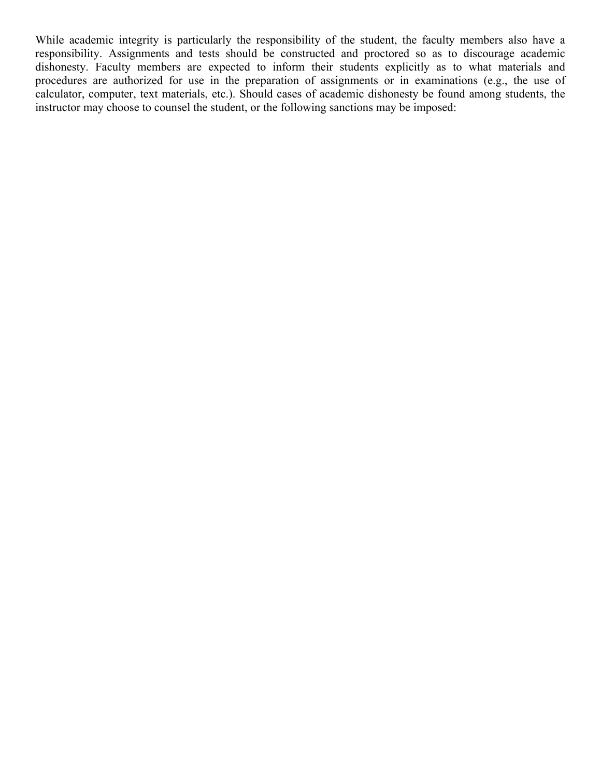While academic integrity is particularly the responsibility of the student, the faculty members also have a responsibility. Assignments and tests should be constructed and proctored so as to discourage academic dishonesty. Faculty members are expected to inform their students explicitly as to what materials and procedures are authorized for use in the preparation of assignments or in examinations (e.g., the use of calculator, computer, text materials, etc.). Should cases of academic dishonesty be found among students, the instructor may choose to counsel the student, or the following sanctions may be imposed: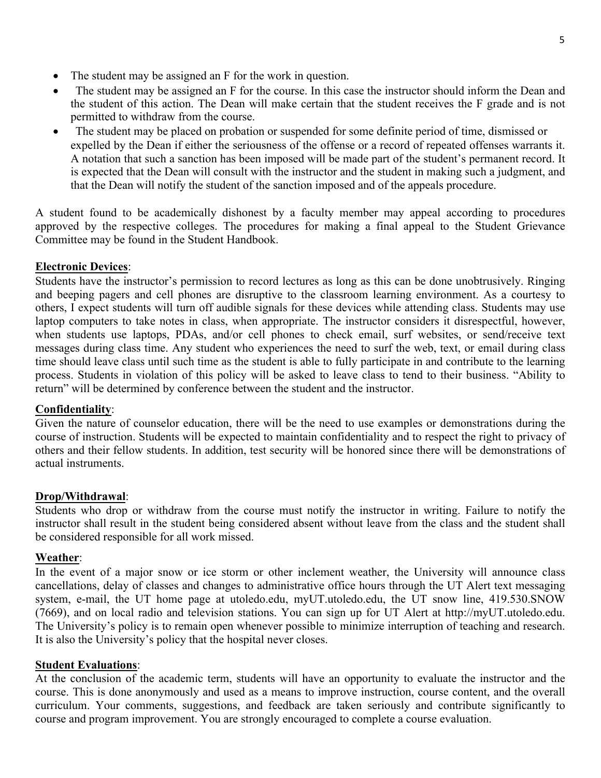- The student may be assigned an F for the work in question.
- The student may be assigned an F for the course. In this case the instructor should inform the Dean and the student of this action. The Dean will make certain that the student receives the F grade and is not permitted to withdraw from the course.
- The student may be placed on probation or suspended for some definite period of time, dismissed or expelled by the Dean if either the seriousness of the offense or a record of repeated offenses warrants it. A notation that such a sanction has been imposed will be made part of the student's permanent record. It is expected that the Dean will consult with the instructor and the student in making such a judgment, and that the Dean will notify the student of the sanction imposed and of the appeals procedure.

A student found to be academically dishonest by a faculty member may appeal according to procedures approved by the respective colleges. The procedures for making a final appeal to the Student Grievance Committee may be found in the Student Handbook.

## **Electronic Devices**:

Students have the instructor's permission to record lectures as long as this can be done unobtrusively. Ringing and beeping pagers and cell phones are disruptive to the classroom learning environment. As a courtesy to others, I expect students will turn off audible signals for these devices while attending class. Students may use laptop computers to take notes in class, when appropriate. The instructor considers it disrespectful, however, when students use laptops, PDAs, and/or cell phones to check email, surf websites, or send/receive text messages during class time. Any student who experiences the need to surf the web, text, or email during class time should leave class until such time as the student is able to fully participate in and contribute to the learning process. Students in violation of this policy will be asked to leave class to tend to their business. "Ability to return" will be determined by conference between the student and the instructor.

### **Confidentiality**:

Given the nature of counselor education, there will be the need to use examples or demonstrations during the course of instruction. Students will be expected to maintain confidentiality and to respect the right to privacy of others and their fellow students. In addition, test security will be honored since there will be demonstrations of actual instruments.

### **Drop/Withdrawal**:

Students who drop or withdraw from the course must notify the instructor in writing. Failure to notify the instructor shall result in the student being considered absent without leave from the class and the student shall be considered responsible for all work missed.

### **Weather**:

In the event of a major snow or ice storm or other inclement weather, the University will announce class cancellations, delay of classes and changes to administrative office hours through the UT Alert text messaging system, e-mail, the UT home page at utoledo.edu, myUT.utoledo.edu, the UT snow line, 419.530.SNOW (7669), and on local radio and television stations. You can sign up for UT Alert at http://myUT.utoledo.edu. The University's policy is to remain open whenever possible to minimize interruption of teaching and research. It is also the University's policy that the hospital never closes.

### **Student Evaluations**:

At the conclusion of the academic term, students will have an opportunity to evaluate the instructor and the course. This is done anonymously and used as a means to improve instruction, course content, and the overall curriculum. Your comments, suggestions, and feedback are taken seriously and contribute significantly to course and program improvement. You are strongly encouraged to complete a course evaluation.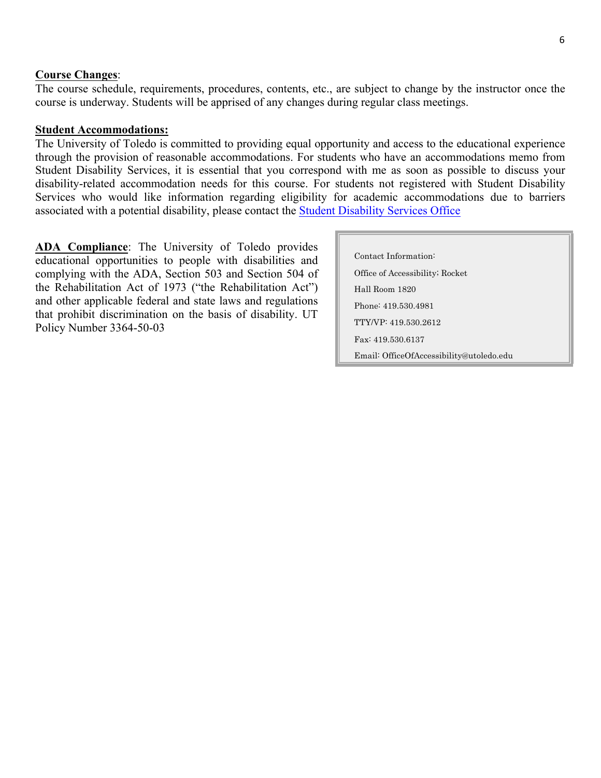#### **Course Changes**:

The course schedule, requirements, procedures, contents, etc., are subject to change by the instructor once the course is underway. Students will be apprised of any changes during regular class meetings.

#### **Student Accommodations:**

The University of Toledo is committed to providing equal opportunity and access to the educational experience through the provision of reasonable accommodations. For students who have an accommodations memo from Student Disability Services, it is essential that you correspond with me as soon as possible to discuss your disability-related accommodation needs for this course. For students not registered with Student Disability Services who would like information regarding eligibility for academic accommodations due to barriers associated with a potential disability, please contact the Student Disability Services Office

**ADA Compliance**: The University of Toledo provides educational opportunities to people with disabilities and complying with the ADA, Section 503 and Section 504 of the Rehabilitation Act of 1973 ("the Rehabilitation Act") and other applicable federal and state laws and regulations that prohibit discrimination on the basis of disability. UT Policy Number 3364-50-03

| Contact Information:                     |
|------------------------------------------|
| Office of Accessibility; Rocket          |
| Hall Room 1820                           |
| Phone: 419.530.4981                      |
| TTY/VP: 419 530 2612                     |
| Fax: 419 530 6137                        |
| Email: OfficeOfAccessibility@utoledo.edu |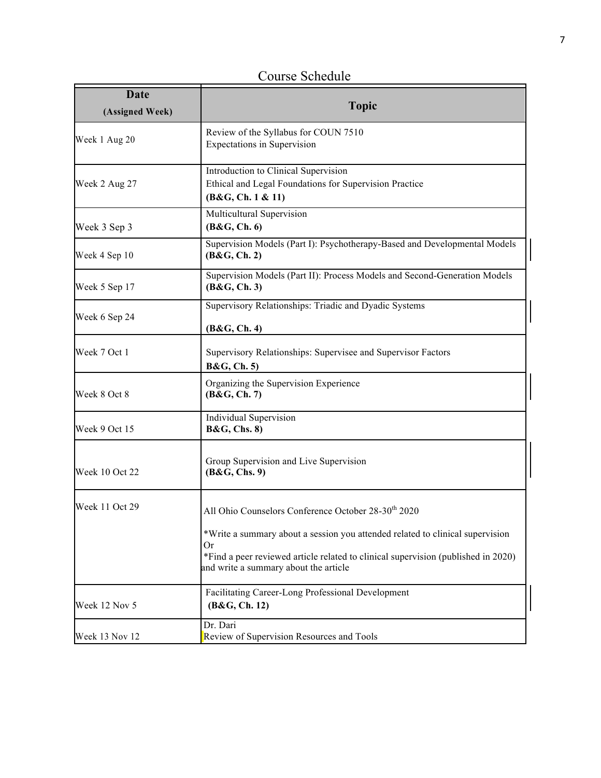Course Schedule

| Date<br>(Assigned Week) | <b>Topic</b>                                                                                                                                                                                                             |  |
|-------------------------|--------------------------------------------------------------------------------------------------------------------------------------------------------------------------------------------------------------------------|--|
| Week 1 Aug 20           | Review of the Syllabus for COUN 7510<br><b>Expectations in Supervision</b>                                                                                                                                               |  |
| Week 2 Aug 27           | Introduction to Clinical Supervision<br>Ethical and Legal Foundations for Supervision Practice<br>(B&G, Ch. 1 & 11)                                                                                                      |  |
| Week 3 Sep 3            | Multicultural Supervision<br>(B&G, Ch.6)                                                                                                                                                                                 |  |
| Week 4 Sep 10           | Supervision Models (Part I): Psychotherapy-Based and Developmental Models<br>(B&G, Ch. 2)                                                                                                                                |  |
| Week 5 Sep 17           | Supervision Models (Part II): Process Models and Second-Generation Models<br>(B&G, Ch.3)                                                                                                                                 |  |
| Week 6 Sep 24           | Supervisory Relationships: Triadic and Dyadic Systems<br>(B&G, Ch. 4)                                                                                                                                                    |  |
| Week 7 Oct 1            | Supervisory Relationships: Supervisee and Supervisor Factors<br><b>B&amp;G</b> , Ch. 5)                                                                                                                                  |  |
| Week 8 Oct 8            | Organizing the Supervision Experience<br>(B&G, Ch. 7)                                                                                                                                                                    |  |
| Week 9 Oct 15           | <b>Individual Supervision</b><br><b>B&amp;G, Chs. 8)</b>                                                                                                                                                                 |  |
| Week 10 Oct 22          | Group Supervision and Live Supervision<br>(B&G, Chs. 9)                                                                                                                                                                  |  |
| Week 11 Oct 29          | All Ohio Counselors Conference October 28-30 <sup>th</sup> 2020                                                                                                                                                          |  |
|                         | *Write a summary about a session you attended related to clinical supervision<br><b>Or</b><br>*Find a peer reviewed article related to clinical supervision (published in 2020)<br>and write a summary about the article |  |
| Week 12 Nov 5           | Facilitating Career-Long Professional Development<br>(B&G, Ch. 12)                                                                                                                                                       |  |
| Week 13 Nov 12          | Dr. Dari<br>Review of Supervision Resources and Tools                                                                                                                                                                    |  |